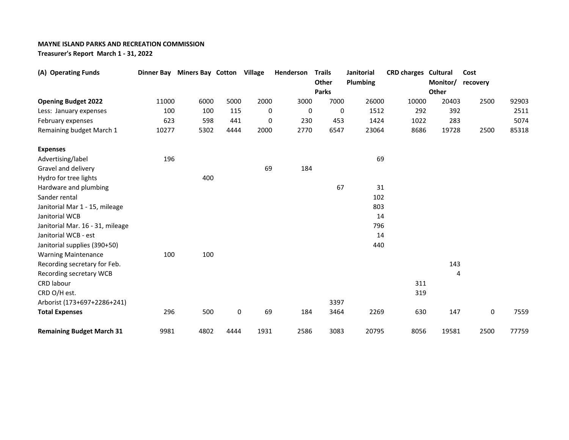## **MAYNE ISLAND PARKS AND RECREATION COMMISSION**

**Treasurer's Report March 1 - 31, 2022**

| (A) Operating Funds              |       | Dinner Bay Miners Bay Cotton Village |           |      | Henderson | <b>Trails</b><br>Other | Janitorial<br>Plumbing | <b>CRD charges Cultural</b> | Monitor/ | Cost<br>recovery |       |
|----------------------------------|-------|--------------------------------------|-----------|------|-----------|------------------------|------------------------|-----------------------------|----------|------------------|-------|
|                                  |       |                                      |           |      |           | <b>Parks</b>           |                        |                             | Other    |                  |       |
| <b>Opening Budget 2022</b>       | 11000 | 6000                                 | 5000      | 2000 | 3000      | 7000                   | 26000                  | 10000                       | 20403    | 2500             | 92903 |
| Less: January expenses           | 100   | 100                                  | 115       | 0    | 0         | 0                      | 1512                   | 292                         | 392      |                  | 2511  |
| February expenses                | 623   | 598                                  | 441       | 0    | 230       | 453                    | 1424                   | 1022                        | 283      |                  | 5074  |
| Remaining budget March 1         | 10277 | 5302                                 | 4444      | 2000 | 2770      | 6547                   | 23064                  | 8686                        | 19728    | 2500             | 85318 |
| <b>Expenses</b>                  |       |                                      |           |      |           |                        |                        |                             |          |                  |       |
| Advertising/label                | 196   |                                      |           |      |           |                        | 69                     |                             |          |                  |       |
| Gravel and delivery              |       |                                      |           | 69   | 184       |                        |                        |                             |          |                  |       |
| Hydro for tree lights            |       | 400                                  |           |      |           |                        |                        |                             |          |                  |       |
| Hardware and plumbing            |       |                                      |           |      |           | 67                     | 31                     |                             |          |                  |       |
| Sander rental                    |       |                                      |           |      |           |                        | 102                    |                             |          |                  |       |
| Janitorial Mar 1 - 15, mileage   |       |                                      |           |      |           |                        | 803                    |                             |          |                  |       |
| Janitorial WCB                   |       |                                      |           |      |           |                        | 14                     |                             |          |                  |       |
| Janitorial Mar. 16 - 31, mileage |       |                                      |           |      |           |                        | 796                    |                             |          |                  |       |
| Janitorial WCB - est             |       |                                      |           |      |           |                        | 14                     |                             |          |                  |       |
| Janitorial supplies (390+50)     |       |                                      |           |      |           |                        | 440                    |                             |          |                  |       |
| <b>Warning Maintenance</b>       | 100   | 100                                  |           |      |           |                        |                        |                             |          |                  |       |
| Recording secretary for Feb.     |       |                                      |           |      |           |                        |                        |                             | 143      |                  |       |
| Recording secretary WCB          |       |                                      |           |      |           |                        |                        |                             | 4        |                  |       |
| CRD labour                       |       |                                      |           |      |           |                        |                        | 311                         |          |                  |       |
| CRD O/H est.                     |       |                                      |           |      |           |                        |                        | 319                         |          |                  |       |
| Arborist (173+697+2286+241)      |       |                                      |           |      |           | 3397                   |                        |                             |          |                  |       |
| <b>Total Expenses</b>            | 296   | 500                                  | $\pmb{0}$ | 69   | 184       | 3464                   | 2269                   | 630                         | 147      | 0                | 7559  |
| <b>Remaining Budget March 31</b> | 9981  | 4802                                 | 4444      | 1931 | 2586      | 3083                   | 20795                  | 8056                        | 19581    | 2500             | 77759 |